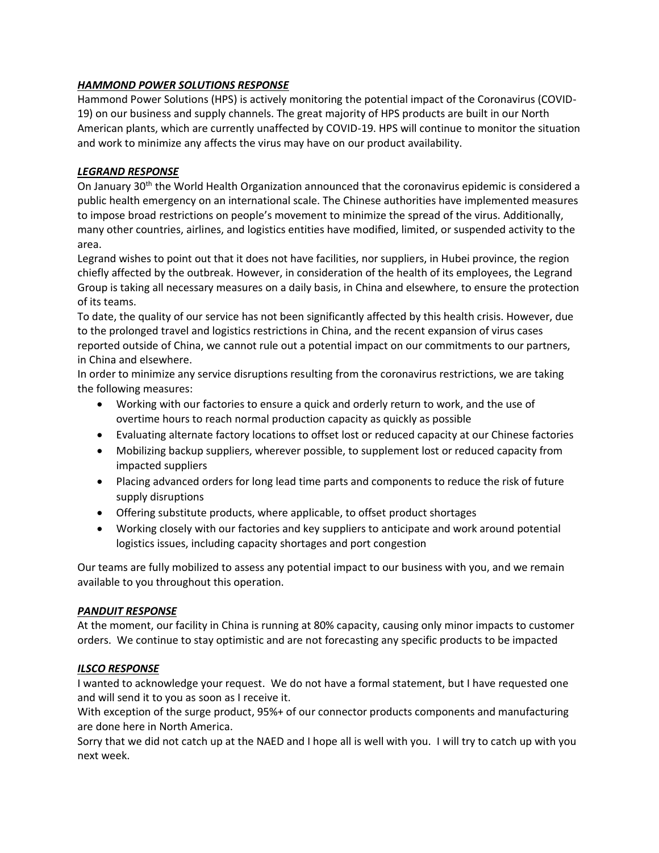# *HAMMOND POWER SOLUTIONS RESPONSE*

Hammond Power Solutions (HPS) is actively monitoring the potential impact of the Coronavirus (COVID-19) on our business and supply channels. The great majority of HPS products are built in our North American plants, which are currently unaffected by COVID-19. HPS will continue to monitor the situation and work to minimize any affects the virus may have on our product availability.

# *LEGRAND RESPONSE*

On January 30th the World Health Organization announced that the coronavirus epidemic is considered a public health emergency on an international scale. The Chinese authorities have implemented measures to impose broad restrictions on people's movement to minimize the spread of the virus. Additionally, many other countries, airlines, and logistics entities have modified, limited, or suspended activity to the area.

Legrand wishes to point out that it does not have facilities, nor suppliers, in Hubei province, the region chiefly affected by the outbreak. However, in consideration of the health of its employees, the Legrand Group is taking all necessary measures on a daily basis, in China and elsewhere, to ensure the protection of its teams.

To date, the quality of our service has not been significantly affected by this health crisis. However, due to the prolonged travel and logistics restrictions in China, and the recent expansion of virus cases reported outside of China, we cannot rule out a potential impact on our commitments to our partners, in China and elsewhere.

In order to minimize any service disruptions resulting from the coronavirus restrictions, we are taking the following measures:

- Working with our factories to ensure a quick and orderly return to work, and the use of overtime hours to reach normal production capacity as quickly as possible
- Evaluating alternate factory locations to offset lost or reduced capacity at our Chinese factories
- Mobilizing backup suppliers, wherever possible, to supplement lost or reduced capacity from impacted suppliers
- Placing advanced orders for long lead time parts and components to reduce the risk of future supply disruptions
- Offering substitute products, where applicable, to offset product shortages
- Working closely with our factories and key suppliers to anticipate and work around potential logistics issues, including capacity shortages and port congestion

Our teams are fully mobilized to assess any potential impact to our business with you, and we remain available to you throughout this operation.

# *PANDUIT RESPONSE*

At the moment, our facility in China is running at 80% capacity, causing only minor impacts to customer orders. We continue to stay optimistic and are not forecasting any specific products to be impacted

# *ILSCO RESPONSE*

I wanted to acknowledge your request. We do not have a formal statement, but I have requested one and will send it to you as soon as I receive it.

With exception of the surge product, 95%+ of our connector products components and manufacturing are done here in North America.

Sorry that we did not catch up at the NAED and I hope all is well with you. I will try to catch up with you next week.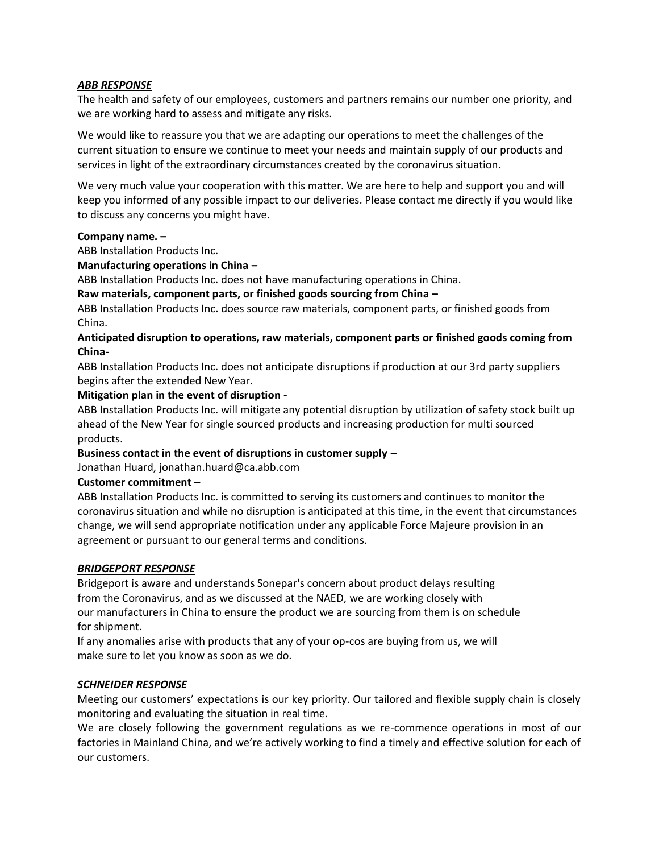# *ABB RESPONSE*

The health and safety of our employees, customers and partners remains our number one priority, and we are working hard to assess and mitigate any risks.

We would like to reassure you that we are adapting our operations to meet the challenges of the current situation to ensure we continue to meet your needs and maintain supply of our products and services in light of the extraordinary circumstances created by the coronavirus situation.

We very much value your cooperation with this matter. We are here to help and support you and will keep you informed of any possible impact to our deliveries. Please contact me directly if you would like to discuss any concerns you might have.

## **Company name. –**

ABB Installation Products Inc.

# **Manufacturing operations in China –**

ABB Installation Products Inc. does not have manufacturing operations in China.

## **Raw materials, component parts, or finished goods sourcing from China –**

ABB Installation Products Inc. does source raw materials, component parts, or finished goods from China.

# **Anticipated disruption to operations, raw materials, component parts or finished goods coming from China-**

ABB Installation Products Inc. does not anticipate disruptions if production at our 3rd party suppliers begins after the extended New Year.

## **Mitigation plan in the event of disruption -**

ABB Installation Products Inc. will mitigate any potential disruption by utilization of safety stock built up ahead of the New Year for single sourced products and increasing production for multi sourced products.

### **Business contact in the event of disruptions in customer supply –**

Jonathan Huard, jonathan.huard@ca.abb.com

### **Customer commitment –**

ABB Installation Products Inc. is committed to serving its customers and continues to monitor the coronavirus situation and while no disruption is anticipated at this time, in the event that circumstances change, we will send appropriate notification under any applicable Force Majeure provision in an agreement or pursuant to our general terms and conditions.

### *BRIDGEPORT RESPONSE*

Bridgeport is aware and understands Sonepar's concern about product delays resulting from the Coronavirus, and as we discussed at the NAED, we are working closely with our manufacturers in China to ensure the product we are sourcing from them is on schedule for shipment.

If any anomalies arise with products that any of your op-cos are buying from us, we will make sure to let you know as soon as we do.

### *SCHNEIDER RESPONSE*

Meeting our customers' expectations is our key priority. Our tailored and flexible supply chain is closely monitoring and evaluating the situation in real time.

We are closely following the government regulations as we re-commence operations in most of our factories in Mainland China, and we're actively working to find a timely and effective solution for each of our customers.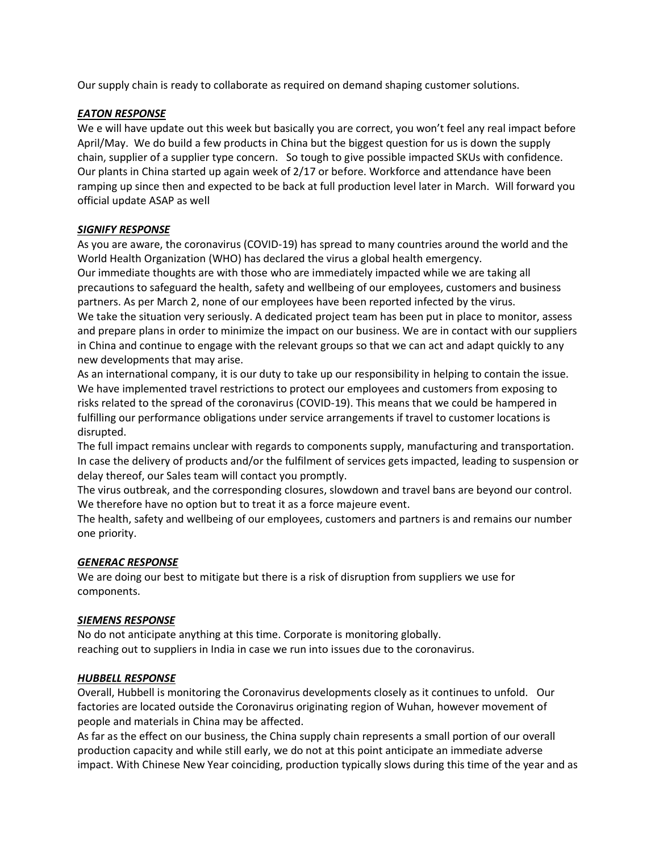Our supply chain is ready to collaborate as required on demand shaping customer solutions.

# *EATON RESPONSE*

We e will have update out this week but basically you are correct, you won't feel any real impact before April/May. We do build a few products in China but the biggest question for us is down the supply chain, supplier of a supplier type concern. So tough to give possible impacted SKUs with confidence. Our plants in China started up again week of 2/17 or before. Workforce and attendance have been ramping up since then and expected to be back at full production level later in March. Will forward you official update ASAP as well

# *SIGNIFY RESPONSE*

As you are aware, the coronavirus (COVID-19) has spread to many countries around the world and the World Health Organization (WHO) has declared the virus a global health emergency.

Our immediate thoughts are with those who are immediately impacted while we are taking all precautions to safeguard the health, safety and wellbeing of our employees, customers and business partners. As per March 2, none of our employees have been reported infected by the virus.

We take the situation very seriously. A dedicated project team has been put in place to monitor, assess and prepare plans in order to minimize the impact on our business. We are in contact with our suppliers in China and continue to engage with the relevant groups so that we can act and adapt quickly to any new developments that may arise.

As an international company, it is our duty to take up our responsibility in helping to contain the issue. We have implemented travel restrictions to protect our employees and customers from exposing to risks related to the spread of the coronavirus (COVID-19). This means that we could be hampered in fulfilling our performance obligations under service arrangements if travel to customer locations is disrupted.

The full impact remains unclear with regards to components supply, manufacturing and transportation. In case the delivery of products and/or the fulfilment of services gets impacted, leading to suspension or delay thereof, our Sales team will contact you promptly.

The virus outbreak, and the corresponding closures, slowdown and travel bans are beyond our control. We therefore have no option but to treat it as a force majeure event.

The health, safety and wellbeing of our employees, customers and partners is and remains our number one priority.

# *GENERAC RESPONSE*

We are doing our best to mitigate but there is a risk of disruption from suppliers we use for components.

# *SIEMENS RESPONSE*

No do not anticipate anything at this time. Corporate is monitoring globally. reaching out to suppliers in India in case we run into issues due to the coronavirus.

# *HUBBELL RESPONSE*

Overall, Hubbell is monitoring the Coronavirus developments closely as it continues to unfold. Our factories are located outside the Coronavirus originating region of Wuhan, however movement of people and materials in China may be affected.

As far as the effect on our business, the China supply chain represents a small portion of our overall production capacity and while still early, we do not at this point anticipate an immediate adverse impact. With Chinese New Year coinciding, production typically slows during this time of the year and as